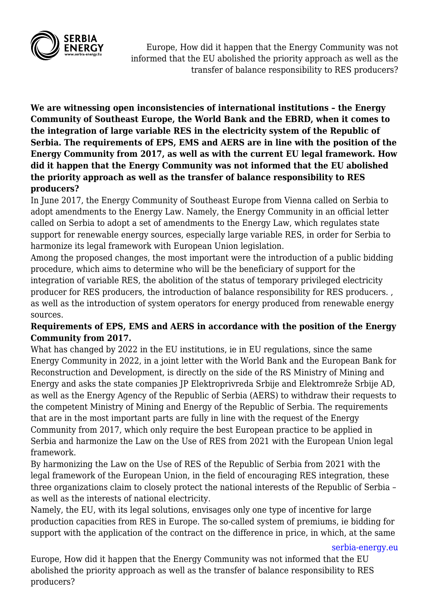

Europe, How did it happen that the Energy Community was not informed that the EU abolished the priority approach as well as the transfer of balance responsibility to RES producers?

**We are witnessing open inconsistencies of international institutions – the Energy Community of Southeast Europe, the World Bank and the EBRD, when it comes to the integration of large variable RES in the electricity system of the Republic of Serbia. The requirements of EPS, EMS and AERS are in line with the position of the Energy Community from 2017, as well as with the current EU legal framework. How did it happen that the Energy Community was not informed that the EU abolished the priority approach as well as the transfer of balance responsibility to RES producers?**

In June 2017, the Energy Community of Southeast Europe from Vienna called on Serbia to adopt amendments to the Energy Law. Namely, the Energy Community in an official letter called on Serbia to adopt a set of amendments to the Energy Law, which regulates state support for renewable energy sources, especially large variable RES, in order for Serbia to harmonize its legal framework with European Union legislation.

Among the proposed changes, the most important were the introduction of a public bidding procedure, which aims to determine who will be the beneficiary of support for the integration of variable RES, the abolition of the status of temporary privileged electricity producer for RES producers, the introduction of balance responsibility for RES producers. , as well as the introduction of system operators for energy produced from renewable energy sources.

## **Requirements of EPS, EMS and AERS in accordance with the position of the Energy Community from 2017.**

What has changed by 2022 in the EU institutions, ie in EU regulations, since the same Energy Community in 2022, in a joint letter with the World Bank and the European Bank for Reconstruction and Development, is directly on the side of the RS Ministry of Mining and Energy and asks the state companies JP Elektroprivreda Srbije and Elektromreže Srbije AD, as well as the Energy Agency of the Republic of Serbia (AERS) to withdraw their requests to the competent Ministry of Mining and Energy of the Republic of Serbia. The requirements that are in the most important parts are fully in line with the request of the Energy Community from 2017, which only require the best European practice to be applied in Serbia and harmonize the Law on the Use of RES from 2021 with the European Union legal framework.

By harmonizing the Law on the Use of RES of the Republic of Serbia from 2021 with the legal framework of the European Union, in the field of encouraging RES integration, these three organizations claim to closely protect the national interests of the Republic of Serbia – as well as the interests of national electricity.

Namely, the EU, with its legal solutions, envisages only one type of incentive for large production capacities from RES in Europe. The so-called system of premiums, ie bidding for support with the application of the contract on the difference in price, in which, at the same

[serbia-energy.eu](https://serbia-energy.eu/)

Europe, How did it happen that the Energy Community was not informed that the EU abolished the priority approach as well as the transfer of balance responsibility to RES producers?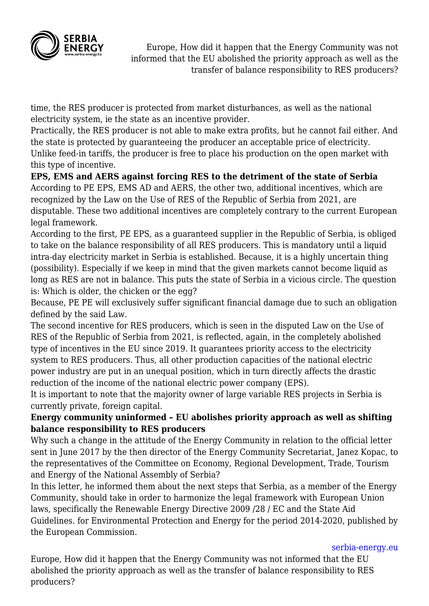

Europe, How did it happen that the Energy Community was not informed that the EU abolished the priority approach as well as the transfer of balance responsibility to RES producers?

time, the RES producer is protected from market disturbances, as well as the national electricity system, ie the state as an incentive provider.

Practically, the RES producer is not able to make extra profits, but he cannot fail either. And the state is protected by guaranteeing the producer an acceptable price of electricity. Unlike feed-in tariffs, the producer is free to place his production on the open market with this type of incentive.

**EPS, EMS and AERS against forcing RES to the detriment of the state of Serbia** According to PE EPS, EMS AD and AERS, the other two, additional incentives, which are recognized by the Law on the Use of RES of the Republic of Serbia from 2021, are disputable. These two additional incentives are completely contrary to the current European legal framework.

According to the first, PE EPS, as a guaranteed supplier in the Republic of Serbia, is obliged to take on the balance responsibility of all RES producers. This is mandatory until a liquid intra-day electricity market in Serbia is established. Because, it is a highly uncertain thing (possibility). Especially if we keep in mind that the given markets cannot become liquid as long as RES are not in balance. This puts the state of Serbia in a vicious circle. The question is: Which is older, the chicken or the egg?

Because, PE PE will exclusively suffer significant financial damage due to such an obligation defined by the said Law.

The second incentive for RES producers, which is seen in the disputed Law on the Use of RES of the Republic of Serbia from 2021, is reflected, again, in the completely abolished type of incentives in the EU since 2019. It guarantees priority access to the electricity system to RES producers. Thus, all other production capacities of the national electric power industry are put in an unequal position, which in turn directly affects the drastic reduction of the income of the national electric power company (EPS).

It is important to note that the majority owner of large variable RES projects in Serbia is currently private, foreign capital.

## **Energy community uninformed – EU abolishes priority approach as well as shifting balance responsibility to RES producers**

Why such a change in the attitude of the Energy Community in relation to the official letter sent in June 2017 by the then director of the Energy Community Secretariat, Janez Kopac, to the representatives of the Committee on Economy, Regional Development, Trade, Tourism and Energy of the National Assembly of Serbia?

In this letter, he informed them about the next steps that Serbia, as a member of the Energy Community, should take in order to harmonize the legal framework with European Union laws, specifically the Renewable Energy Directive 2009 /28 / EC and the State Aid Guidelines. for Environmental Protection and Energy for the period 2014-2020, published by the European Commission.

[serbia-energy.eu](https://serbia-energy.eu/)

Europe, How did it happen that the Energy Community was not informed that the EU abolished the priority approach as well as the transfer of balance responsibility to RES producers?